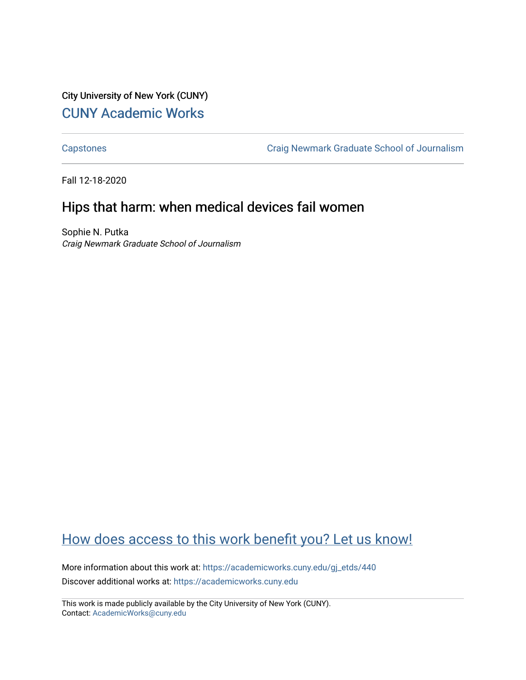City University of New York (CUNY) [CUNY Academic Works](https://academicworks.cuny.edu/) 

[Capstones](https://academicworks.cuny.edu/gj_etds) [Craig Newmark Graduate School of Journalism](https://academicworks.cuny.edu/gj) 

Fall 12-18-2020

# Hips that harm: when medical devices fail women

Sophie N. Putka Craig Newmark Graduate School of Journalism

# [How does access to this work benefit you? Let us know!](http://ols.cuny.edu/academicworks/?ref=https://academicworks.cuny.edu/gj_etds/440)

More information about this work at: [https://academicworks.cuny.edu/gj\\_etds/440](https://academicworks.cuny.edu/gj_etds/440)  Discover additional works at: [https://academicworks.cuny.edu](https://academicworks.cuny.edu/?)

This work is made publicly available by the City University of New York (CUNY). Contact: [AcademicWorks@cuny.edu](mailto:AcademicWorks@cuny.edu)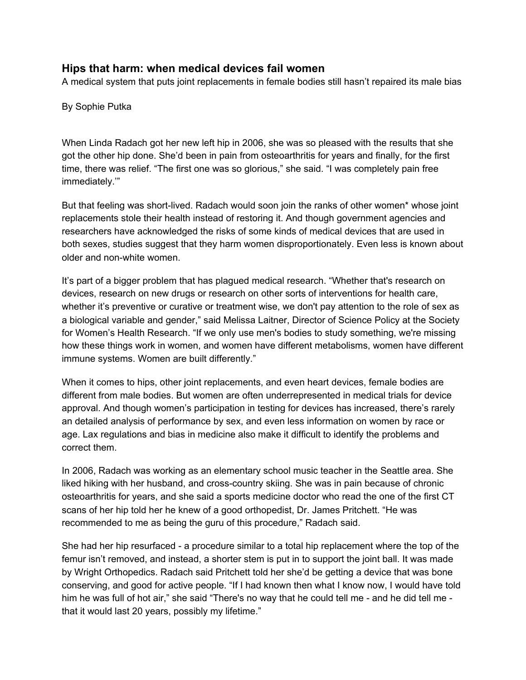## **Hips that harm: when medical devices fail women**

A medical system that puts joint replacements in female bodies still hasn't repaired its male bias

By Sophie Putka

When Linda Radach got her new left hip in 2006, she was so pleased with the results that she got the other hip done. She'd been in pain from osteoarthritis for years and finally, for the first time, there was relief. "The first one was so glorious," she said. "I was completely pain free immediately.'"

But that feeling was short-lived. Radach would soon join the ranks of other women\* whose joint replacements stole their health instead of restoring it. And though government agencies and researchers have acknowledged the risks of some kinds of medical devices that are used in both sexes, studies suggest that they harm women disproportionately. Even less is known about older and non-white women.

It's part of a bigger problem that has plagued medical research. "Whether that's research on devices, research on new drugs or research on other sorts of interventions for health care, whether it's preventive or curative or treatment wise, we don't pay attention to the role of sex as a biological variable and gender," said Melissa Laitner, Director of Science Policy at the Society for Women's Health Research. "If we only use men's bodies to study something, we're missing how these things work in women, and women have different metabolisms, women have different immune systems. Women are built differently."

When it comes to hips, other joint replacements, and even heart devices, female bodies are different from male bodies. But women are often underrepresented in medical trials for device approval. And though women's participation in testing for devices has increased, there's rarely an detailed analysis of performance by sex, and even less information on women by race or age. Lax regulations and bias in medicine also make it difficult to identify the problems and correct them.

In 2006, Radach was working as an elementary school music teacher in the Seattle area. She liked hiking with her husband, and cross-country skiing. She was in pain because of chronic osteoarthritis for years, and she said a sports medicine doctor who read the one of the first CT scans of her hip told her he knew of a good orthopedist, Dr. James Pritchett. "He was recommended to me as being the guru of this procedure," Radach said.

She had her hip resurfaced - a procedure similar to a total hip replacement where the top of the femur isn't removed, and instead, a shorter stem is put in to support the joint ball. It was made by Wright Orthopedics. Radach said Pritchett told her she'd be getting a device that was bone conserving, and good for active people. "If I had known then what I know now, I would have told him he was full of hot air," she said "There's no way that he could tell me - and he did tell me that it would last 20 years, possibly my lifetime."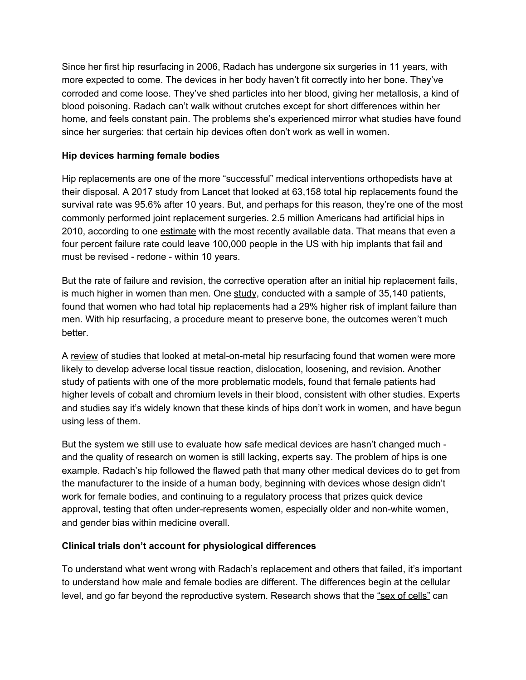Since her first hip resurfacing in 2006, Radach has undergone six surgeries in 11 years, with more expected to come. The devices in her body haven't fit correctly into her bone. They've corroded and come loose. They've shed particles into her blood, giving her metallosis, a kind of blood poisoning. Radach can't walk without crutches except for short differences within her home, and feels constant pain. The problems she's experienced mirror what studies have found since her surgeries: that certain hip devices often don't work as well in women.

#### **Hip devices harming female bodies**

Hip replacements are one of the more "successful" medical interventions orthopedists have at their disposal. A 2017 study from Lancet that looked at 63,158 total hip replacements found the survival rate was 95.6% after 10 years. But, and perhaps for this reason, they're one of the most commonly performed joint replacement surgeries. 2.5 million Americans had artificial hips in 2010, according to one [estimate](https://www.ncbi.nlm.nih.gov/pmc/articles/PMC4551172/) with the most recently available data. That means that even a four percent failure rate could leave 100,000 people in the US with hip implants that fail and must be revised - redone - within 10 years.

But the rate of failure and revision, the corrective operation after an initial hip replacement fails, is much higher in women than men. One [study](https://jamanetwork.com/journals/jamainternalmedicine/fullarticle/1653996), conducted with a sample of 35,140 patients, found that women who had total hip replacements had a 29% higher risk of implant failure than men. With hip resurfacing, a procedure meant to preserve bone, the outcomes weren't much better.

A [review](https://pubmed.ncbi.nlm.nih.gov/25758375/) of studies that looked at metal-on-metal hip resurfacing found that women were more likely to develop adverse local tissue reaction, dislocation, loosening, and revision. Another [study](https://www.ncbi.nlm.nih.gov/pmc/articles/PMC5014806/#CR11) of patients with one of the more problematic models, found that female patients had higher levels of cobalt and chromium levels in their blood, consistent with other studies. Experts and studies say it's widely known that these kinds of hips don't work in women, and have begun using less of them.

But the system we still use to evaluate how safe medical devices are hasn't changed much and the quality of research on women is still lacking, experts say. The problem of hips is one example. Radach's hip followed the flawed path that many other medical devices do to get from the manufacturer to the inside of a human body, beginning with devices whose design didn't work for female bodies, and continuing to a regulatory process that prizes quick device approval, testing that often under-represents women, especially older and non-white women, and gender bias within medicine overall.

## **Clinical trials don't account for physiological differences**

To understand what went wrong with Radach's replacement and others that failed, it's important to understand how male and female bodies are different. The differences begin at the cellular level, and go far beyond the reproductive system. Research shows that the "sex of [cells"](https://www.ncbi.nlm.nih.gov/pmc/articles/PMC3919971/) can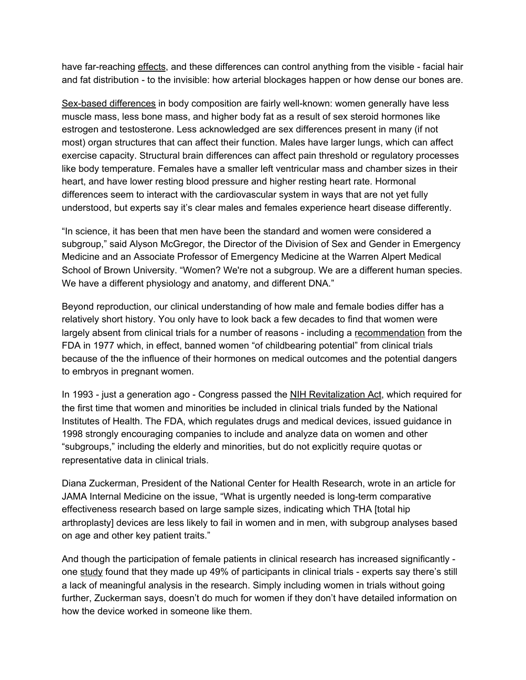have far-reaching [effects,](https://www.ncbi.nlm.nih.gov/books/NBK222291/) and these differences can control anything from the visible - facial hair and fat distribution - to the invisible: how arterial blockages happen or how dense our bones are.

Sex-based [differences](https://journals.physiology.org/doi/full/10.1152/advan.00118.2006) in body composition are fairly well-known: women generally have less muscle mass, less bone mass, and higher body fat as a result of sex steroid hormones like estrogen and testosterone. Less acknowledged are sex differences present in many (if not most) organ structures that can affect their function. Males have larger lungs, which can affect exercise capacity. Structural brain differences can affect pain threshold or regulatory processes like body temperature. Females have a smaller left ventricular mass and chamber sizes in their heart, and have lower resting blood pressure and higher resting heart rate. Hormonal differences seem to interact with the cardiovascular system in ways that are not yet fully understood, but experts say it's clear males and females experience heart disease differently.

"In science, it has been that men have been the standard and women were considered a subgroup," said Alyson McGregor, the Director of the Division of Sex and Gender in Emergency Medicine and an Associate Professor of Emergency Medicine at the Warren Alpert Medical School of Brown University. "Women? We're not a subgroup. We are a different human species. We have a different physiology and anatomy, and different DNA."

Beyond reproduction, our clinical understanding of how male and female bodies differ has a relatively short history. You only have to look back a few decades to find that women were largely absent from clinical trials for a number of reasons - including a [recommendation](https://www.fda.gov/media/71495/download) from the FDA in 1977 which, in effect, banned women "of childbearing potential" from clinical trials because of the the influence of their hormones on medical outcomes and the potential dangers to embryos in pregnant women.

In 1993 - just a generation ago - Congress passed the NIH [Revitalization](https://www.congress.gov/103/bills/s1/BILLS-103s1enr.pdf) Act, which required for the first time that women and minorities be included in clinical trials funded by the National Institutes of Health. The FDA, which regulates drugs and medical devices, issued guidance in 1998 strongly encouraging companies to include and analyze data on women and other "subgroups," including the elderly and minorities, but do not explicitly require quotas or representative data in clinical trials.

Diana Zuckerman, President of the National Center for Health Research, wrote in an article for JAMA Internal Medicine on the issue, "What is urgently needed is long-term comparative effectiveness research based on large sample sizes, indicating which THA [total hip arthroplasty] devices are less likely to fail in women and in men, with subgroup analyses based on age and other key patient traits."

And though the participation of female patients in clinical research has increased significantly one [study](https://jamanetwork.com/journals/jamanetworkopen/fullarticle/2737103) found that they made up 49% of participants in clinical trials - experts say there's still a lack of meaningful analysis in the research. Simply including women in trials without going further, Zuckerman says, doesn't do much for women if they don't have detailed information on how the device worked in someone like them.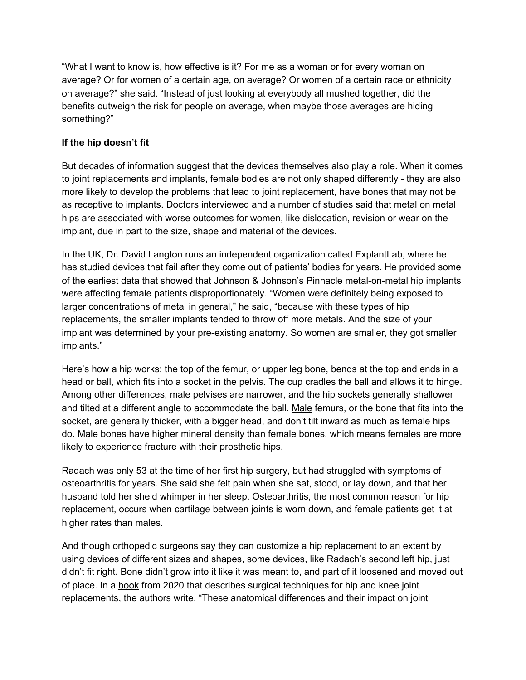"What I want to know is, how effective is it? For me as a woman or for every woman on average? Or for women of a certain age, on average? Or women of a certain race or ethnicity on average?" she said. "Instead of just looking at everybody all mushed together, did the benefits outweigh the risk for people on average, when maybe those averages are hiding something?"

## **If the hip doesn't fit**

But decades of information suggest that the devices themselves also play a role. When it comes to joint replacements and implants, female bodies are not only shaped differently - they are also more likely to develop the problems that lead to joint replacement, have bones that may not be as receptive to implants. Doctors interviewed and a number of [studies](https://jamanetwork.com/journals/jamainternalmedicine/fullarticle/1653996) [said](https://www.ncbi.nlm.nih.gov/pmc/articles/PMC4488218/) [that](https://www.ncbi.nlm.nih.gov/pmc/articles/PMC5014813/) metal on metal hips are associated with worse outcomes for women, like dislocation, revision or wear on the implant, due in part to the size, shape and material of the devices.

In the UK, Dr. David Langton runs an independent organization called ExplantLab, where he has studied devices that fail after they come out of patients' bodies for years. He provided some of the earliest data that showed that Johnson & Johnson's Pinnacle metal-on-metal hip implants were affecting female patients disproportionately. "Women were definitely being exposed to larger concentrations of metal in general," he said, "because with these types of hip replacements, the smaller implants tended to throw off more metals. And the size of your implant was determined by your pre-existing anatomy. So women are smaller, they got smaller implants."

Here's how a hip works: the top of the femur, or upper leg bone, bends at the top and ends in a head or ball, which fits into a socket in the pelvis. The cup cradles the ball and allows it to hinge. Among other differences, male pelvises are narrower, and the hip sockets generally shallower and tilted at a different angle to accommodate the ball. [Male](https://link.springer.com/chapter/10.1007/978-3-030-24243-5_2) femurs, or the bone that fits into the socket, are generally thicker, with a bigger head, and don't tilt inward as much as female hips do. Male bones have higher mineral density than female bones, which means females are more likely to experience fracture with their prosthetic hips.

Radach was only 53 at the time of her first hip surgery, but had struggled with symptoms of osteoarthritis for years. She said she felt pain when she sat, stood, or lay down, and that her husband told her she'd whimper in her sleep. Osteoarthritis, the most common reason for hip replacement, occurs when cartilage between joints is worn down, and female patients get it at [higher](https://pubmed.ncbi.nlm.nih.gov/17766785/) rates than males.

And though orthopedic surgeons say they can customize a hip replacement to an extent by using devices of different sizes and shapes, some devices, like Radach's second left hip, just didn't fit right. Bone didn't grow into it like it was meant to, and part of it loosened and moved out of place. In a [book](https://link.springer.com/chapter/10.1007/978-3-030-24243-5_2) from 2020 that describes surgical techniques for hip and knee joint replacements, the authors write, "These anatomical differences and their impact on joint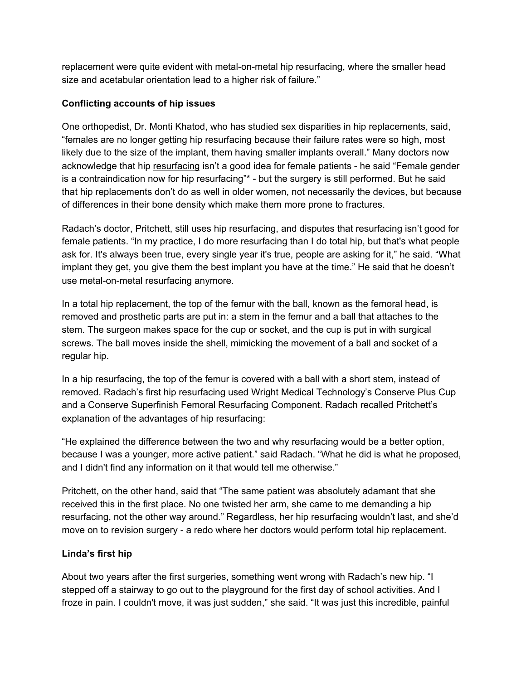replacement were quite evident with metal-on-metal hip resurfacing, where the smaller head size and acetabular orientation lead to a higher risk of failure."

## **Conflicting accounts of hip issues**

One orthopedist, Dr. Monti Khatod, who has studied sex disparities in hip replacements, said, "females are no longer getting hip resurfacing because their failure rates were so high, most likely due to the size of the implant, them having smaller implants overall." Many doctors now acknowledge that hip [resurfacing](https://bmcmedicine.biomedcentral.com/articles/10.1186/1741-7015-9-113) isn't a good idea for female patients - he said "Female gender is a contraindication now for hip resurfacing"\* - but the surgery is still performed. But he said that hip replacements don't do as well in older women, not necessarily the devices, but because of differences in their bone density which make them more prone to fractures.

Radach's doctor, Pritchett, still uses hip resurfacing, and disputes that resurfacing isn't good for female patients. "In my practice, I do more resurfacing than I do total hip, but that's what people ask for. It's always been true, every single year it's true, people are asking for it," he said. "What implant they get, you give them the best implant you have at the time." He said that he doesn't use metal-on-metal resurfacing anymore.

In a total hip replacement, the top of the femur with the ball, known as the femoral head, is removed and prosthetic parts are put in: a stem in the femur and a ball that attaches to the stem. The surgeon makes space for the cup or socket, and the cup is put in with surgical screws. The ball moves inside the shell, mimicking the movement of a ball and socket of a regular hip.

In a hip resurfacing, the top of the femur is covered with a ball with a short stem, instead of removed. Radach's first hip resurfacing used Wright Medical Technology's Conserve Plus Cup and a Conserve Superfinish Femoral Resurfacing Component. Radach recalled Pritchett's explanation of the advantages of hip resurfacing:

"He explained the difference between the two and why resurfacing would be a better option, because I was a younger, more active patient." said Radach. "What he did is what he proposed, and I didn't find any information on it that would tell me otherwise."

Pritchett, on the other hand, said that "The same patient was absolutely adamant that she received this in the first place. No one twisted her arm, she came to me demanding a hip resurfacing, not the other way around." Regardless, her hip resurfacing wouldn't last, and she'd move on to revision surgery - a redo where her doctors would perform total hip replacement.

## **Linda's first hip**

About two years after the first surgeries, something went wrong with Radach's new hip. "I stepped off a stairway to go out to the playground for the first day of school activities. And I froze in pain. I couldn't move, it was just sudden," she said. "It was just this incredible, painful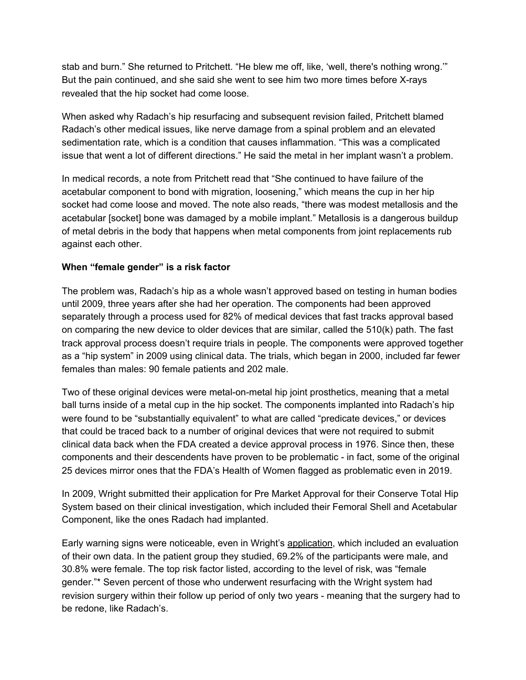stab and burn." She returned to Pritchett. "He blew me off, like, 'well, there's nothing wrong.'" But the pain continued, and she said she went to see him two more times before X-rays revealed that the hip socket had come loose.

When asked why Radach's hip resurfacing and subsequent revision failed, Pritchett blamed Radach's other medical issues, like nerve damage from a spinal problem and an elevated sedimentation rate, which is a condition that causes inflammation. "This was a complicated issue that went a lot of different directions." He said the metal in her implant wasn't a problem.

In medical records, a note from Pritchett read that "She continued to have failure of the acetabular component to bond with migration, loosening," which means the cup in her hip socket had come loose and moved. The note also reads, "there was modest metallosis and the acetabular [socket] bone was damaged by a mobile implant." Metallosis is a dangerous buildup of metal debris in the body that happens when metal components from joint replacements rub against each other.

#### **When "female gender" is a risk factor**

The problem was, Radach's hip as a whole wasn't approved based on testing in human bodies until 2009, three years after she had her operation. The components had been approved separately through a process used for 82% of medical devices that fast tracks approval based on comparing the new device to older devices that are similar, called the 510(k) path. The fast track approval process doesn't require trials in people. The components were approved together as a "hip system" in 2009 using clinical data. The trials, which began in 2000, included far fewer females than males: 90 female patients and 202 male.

Two of these original devices were metal-on-metal hip joint prosthetics, meaning that a metal ball turns inside of a metal cup in the hip socket. The components implanted into Radach's hip were found to be "substantially equivalent" to what are called "predicate devices," or devices that could be traced back to a number of original devices that were not required to submit clinical data back when the FDA created a device approval process in 1976. Since then, these components and their descendents have proven to be problematic - in fact, some of the original 25 devices mirror ones that the FDA's Health of Women flagged as problematic even in 2019.

In 2009, Wright submitted their application for Pre Market Approval for their Conserve Total Hip System based on their clinical investigation, which included their Femoral Shell and Acetabular Component, like the ones Radach had implanted.

Early warning signs were noticeable, even in Wright's [application](https://www.accessdata.fda.gov/cdrh_docs/pdf3/P030042b.pdf), which included an evaluation of their own data. In the patient group they studied, 69.2% of the participants were male, and 30.8% were female. The top risk factor listed, according to the level of risk, was "female gender."\* Seven percent of those who underwent resurfacing with the Wright system had revision surgery within their follow up period of only two years - meaning that the surgery had to be redone, like Radach's.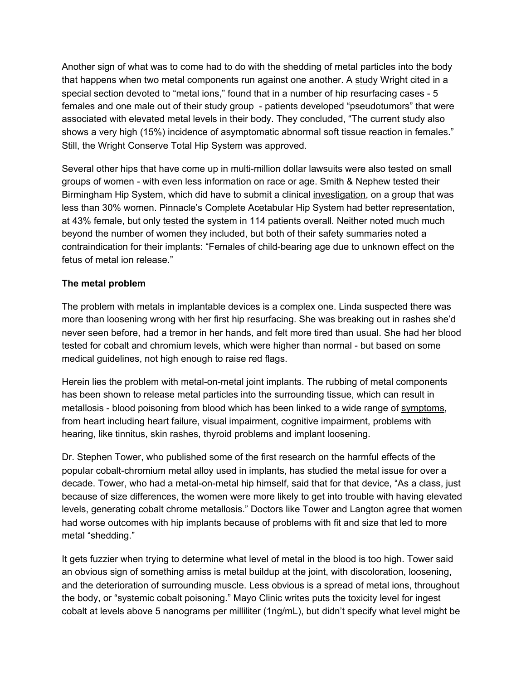Another sign of what was to come had to do with the shedding of metal particles into the body that happens when two metal components run against one another. A [study](http://www.ors.org/Transactions/55/0044.pdf) Wright cited in a special section devoted to "metal ions," found that in a number of hip resurfacing cases - 5 females and one male out of their study group - patients developed "pseudotumors" that were associated with elevated metal levels in their body. They concluded, "The current study also shows a very high (15%) incidence of asymptomatic abnormal soft tissue reaction in females." Still, the Wright Conserve Total Hip System was approved.

Several other hips that have come up in multi-million dollar lawsuits were also tested on small groups of women - with even less information on race or age. Smith & Nephew tested their Birmingham Hip System, which did have to submit a clinical [investigation,](https://www.accessdata.fda.gov/cdrh_docs/pdf4/P040033B.pdf) on a group that was less than 30% women. Pinnacle's Complete Acetabular Hip System had better representation, at 43% female, but only [tested](https://www.accessdata.fda.gov/cdrh_docs/pdf9/P090002B.pdf) the system in 114 patients overall. Neither noted much much beyond the number of women they included, but both of their safety summaries noted a contraindication for their implants: "Females of child-bearing age due to unknown effect on the fetus of metal ion release."

## **The metal problem**

The problem with metals in implantable devices is a complex one. Linda suspected there was more than loosening wrong with her first hip resurfacing. She was breaking out in rashes she'd never seen before, had a tremor in her hands, and felt more tired than usual. She had her blood tested for cobalt and chromium levels, which were higher than normal - but based on some medical guidelines, not high enough to raise red flags.

Herein lies the problem with metal-on-metal joint implants. The rubbing of metal components has been shown to release metal particles into the surrounding tissue, which can result in metallosis - blood poisoning from blood which has been linked to a wide range of [symptoms,](https://www.drugwatch.com/hip-replacement/metallosis/#:~:text=Local%20symptoms%20of%20metallosis%20include,before%20you%20experience%20local%20symptoms.) from heart including heart failure, visual impairment, cognitive impairment, problems with hearing, like tinnitus, skin rashes, thyroid problems and implant loosening.

Dr. Stephen Tower, who published some of the first research on the harmful effects of the popular cobalt-chromium metal alloy used in implants, has studied the metal issue for over a decade. Tower, who had a metal-on-metal hip himself, said that for that device, "As a class, just because of size differences, the women were more likely to get into trouble with having elevated levels, generating cobalt chrome metallosis." Doctors like Tower and Langton agree that women had worse outcomes with hip implants because of problems with fit and size that led to more metal "shedding."

It gets fuzzier when trying to determine what level of metal in the blood is too high. Tower said an obvious sign of something amiss is metal buildup at the joint, with discoloration, loosening, and the deterioration of surrounding muscle. Less obvious is a spread of metal ions, throughout the body, or "systemic cobalt poisoning." Mayo Clinic writes puts the toxicity level for ingest cobalt at levels above 5 nanograms per milliliter (1ng/mL), but didn't specify what level might be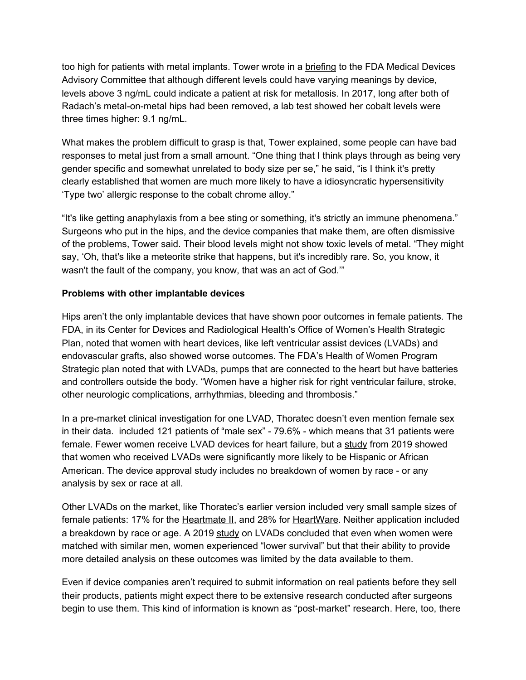too high for patients with metal implants. Tower wrote in a [briefing](https://www.dropbox.com/s/2918joxw5nrkqf7/Tower%20briefing%20to%20Raj%20Rao191110%20EW%20SDT.pdf?dl=0) to the FDA Medical Devices Advisory Committee that although different levels could have varying meanings by device, levels above 3 ng/mL could indicate a patient at risk for metallosis. In 2017, long after both of Radach's metal-on-metal hips had been removed, a lab test showed her cobalt levels were three times higher: 9.1 ng/mL.

What makes the problem difficult to grasp is that, Tower explained, some people can have bad responses to metal just from a small amount. "One thing that I think plays through as being very gender specific and somewhat unrelated to body size per se," he said, "is I think it's pretty clearly established that women are much more likely to have a idiosyncratic hypersensitivity 'Type two' allergic response to the cobalt chrome alloy."

"It's like getting anaphylaxis from a bee sting or something, it's strictly an immune phenomena." Surgeons who put in the hips, and the device companies that make them, are often dismissive of the problems, Tower said. Their blood levels might not show toxic levels of metal. "They might say, 'Oh, that's like a meteorite strike that happens, but it's incredibly rare. So, you know, it wasn't the fault of the company, you know, that was an act of God.'"

#### **Problems with other implantable devices**

Hips aren't the only implantable devices that have shown poor outcomes in female patients. The FDA, in its Center for Devices and Radiological Health's Office of Women's Health Strategic Plan, noted that women with heart devices, like left ventricular assist devices (LVADs) and endovascular grafts, also showed worse outcomes. The FDA's Health of Women Program Strategic plan noted that with LVADs, pumps that are connected to the heart but have batteries and controllers outside the body. "Women have a higher risk for right ventricular failure, stroke, other neurologic complications, arrhythmias, bleeding and thrombosis."

In a pre-market clinical investigation for one LVAD, Thoratec doesn't even mention female sex in their data. included 121 patients of "male sex" - 79.6% - which means that 31 patients were female. Fewer women receive LVAD devices for heart failure, but a [study](https://www.acc.org/latest-in-cardiology/journal-scans/2019/02/27/13/58/sex-related-differences-in-use-and-outcomes) from 2019 showed that women who received LVADs were significantly more likely to be Hispanic or African American. The device approval study includes no breakdown of women by race - or any analysis by sex or race at all.

Other LVADs on the market, like Thoratec's earlier version included very small sample sizes of female patients: 17% for the [Heartmate](https://www.accessdata.fda.gov/cdrh_docs/pdf6/P060040B.pdf) II, and 28% for [HeartWare.](https://www.accessdata.fda.gov/cdrh_docs/pdf10/P100047B.pdf) Neither application included a breakdown by race or age. A 2019 [study](https://www.jacc.org/doi/full/10.1016/j.jchf.2019.01.008?_ga=2.98037852.233863548.1608413771-441234524.1606833963) on LVADs concluded that even when women were matched with similar men, women experienced "lower survival" but that their ability to provide more detailed analysis on these outcomes was limited by the data available to them.

Even if device companies aren't required to submit information on real patients before they sell their products, patients might expect there to be extensive research conducted after surgeons begin to use them. This kind of information is known as "post-market" research. Here, too, there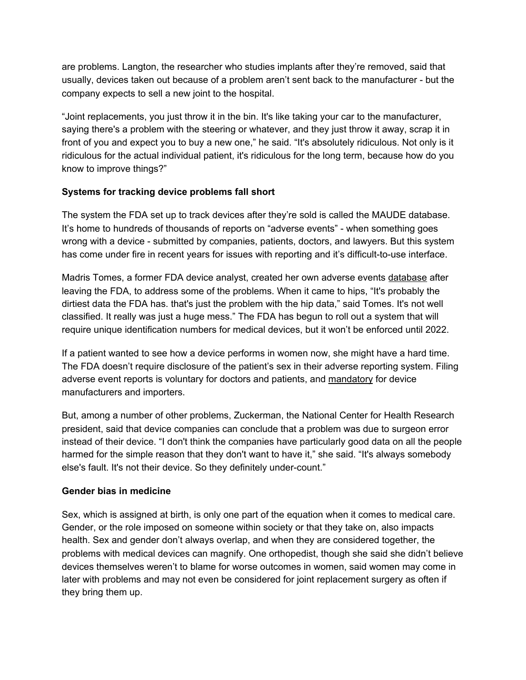are problems. Langton, the researcher who studies implants after they're removed, said that usually, devices taken out because of a problem aren't sent back to the manufacturer - but the company expects to sell a new joint to the hospital.

"Joint replacements, you just throw it in the bin. It's like taking your car to the manufacturer, saying there's a problem with the steering or whatever, and they just throw it away, scrap it in front of you and expect you to buy a new one," he said. "It's absolutely ridiculous. Not only is it ridiculous for the actual individual patient, it's ridiculous for the long term, because how do you know to improve things?"

## **Systems for tracking device problems fall short**

The system the FDA set up to track devices after they're sold is called the MAUDE database. It's home to hundreds of thousands of reports on "adverse events" - when something goes wrong with a device - submitted by companies, patients, doctors, and lawyers. But this system has come under fire in recent years for issues with reporting and it's difficult-to-use interface.

Madris Tomes, a former FDA device analyst, created her own adverse events [database](https://www.deviceevents.com/) after leaving the FDA, to address some of the problems. When it came to hips, "It's probably the dirtiest data the FDA has. that's just the problem with the hip data," said Tomes. It's not well classified. It really was just a huge mess." The FDA has begun to roll out a system that will require unique identification numbers for medical devices, but it won't be enforced until 2022.

If a patient wanted to see how a device performs in women now, she might have a hard time. The FDA doesn't require disclosure of the patient's sex in their adverse reporting system. Filing adverse event reports is voluntary for doctors and patients, and [mandatory](https://www.accessdata.fda.gov/scripts/cdrh/cfdocs/cfmaude/search.cfm#:~:text=The%20MAUDE%20database%20houses%20medical,care%20professionals%2C%20patients%20and%20consumers.) for device manufacturers and importers.

But, among a number of other problems, Zuckerman, the National Center for Health Research president, said that device companies can conclude that a problem was due to surgeon error instead of their device. "I don't think the companies have particularly good data on all the people harmed for the simple reason that they don't want to have it," she said. "It's always somebody else's fault. It's not their device. So they definitely under-count."

## **Gender bias in medicine**

Sex, which is assigned at birth, is only one part of the equation when it comes to medical care. Gender, or the role imposed on someone within society or that they take on, also impacts health. Sex and gender don't always overlap, and when they are considered together, the problems with medical devices can magnify. One orthopedist, though she said she didn't believe devices themselves weren't to blame for worse outcomes in women, said women may come in later with problems and may not even be considered for joint replacement surgery as often if they bring them up.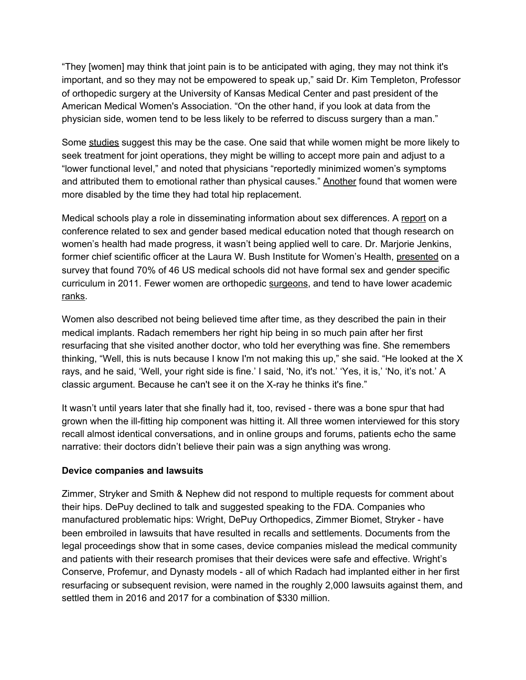"They [women] may think that joint pain is to be anticipated with aging, they may not think it's important, and so they may not be empowered to speak up," said Dr. Kim Templeton, Professor of orthopedic surgery at the University of Kansas Medical Center and past president of the American Medical Women's Association. "On the other hand, if you look at data from the physician side, women tend to be less likely to be referred to discuss surgery than a man."

Some [studies](https://link.springer.com/article/10.1007/s11999-011-1879-x) suggest this may be the case. One said that while women might be more likely to seek treatment for joint operations, they might be willing to accept more pain and adjust to a "lower functional level," and noted that physicians "reportedly minimized women's symptoms and attributed them to emotional rather than physical causes." [Another](https://www.jstor.org/stable/pdf/3768126.pdf?casa_token=z72ceC8afV0AAAAA:mgH9RJYP6uxjccx3avFUmvl_ONkxRS_ikrWzfU7oJQ_FVCFfZ0W9qCBJIp9P75FxGD6mp3aVI3fhkUzCmvM4oHzwkmtJX2jk_SlBhJICrAVibV24k48N) found that women were more disabled by the time they had total hip replacement.

Medical schools play a role in disseminating information about sex differences. A [report](https://scholarscompass.vcu.edu/cgi/viewcontent.cgi?article=1051&context=fmph_pubs) on a conference related to sex and gender based medical education noted that though research on women's health had made progress, it wasn't being applied well to care. Dr. Marjorie Jenkins, former chief scientific officer at the Laura W. Bush Institute for Women's Health, [presented](https://med.fsu.edu/sites/default/files/userFiles/file/FSU_Grand%20Rounds_May%2011%202017.pdf) on a survey that found 70% of 46 US medical schools did not have formal sex and gender specific curriculum in 2011. Fewer women are orthopedic [surgeons](https://www.aaos.org/aaosnow/2019/jun/youraaos/youraaos05/), and tend to have lower academic [ranks.](https://www.ncbi.nlm.nih.gov/pmc/articles/PMC7138452/)

Women also described not being believed time after time, as they described the pain in their medical implants. Radach remembers her right hip being in so much pain after her first resurfacing that she visited another doctor, who told her everything was fine. She remembers thinking, "Well, this is nuts because I know I'm not making this up," she said. "He looked at the X rays, and he said, 'Well, your right side is fine.' I said, 'No, it's not.' 'Yes, it is,' 'No, it's not.' A classic argument. Because he can't see it on the X-ray he thinks it's fine."

It wasn't until years later that she finally had it, too, revised - there was a bone spur that had grown when the ill-fitting hip component was hitting it. All three women interviewed for this story recall almost identical conversations, and in online groups and forums, patients echo the same narrative: their doctors didn't believe their pain was a sign anything was wrong.

#### **Device companies and lawsuits**

Zimmer, Stryker and Smith & Nephew did not respond to multiple requests for comment about their hips. DePuy declined to talk and suggested speaking to the FDA. Companies who manufactured problematic hips: Wright, DePuy Orthopedics, Zimmer Biomet, Stryker - have been embroiled in lawsuits that have resulted in recalls and settlements. Documents from the legal proceedings show that in some cases, device companies mislead the medical community and patients with their research promises that their devices were safe and effective. Wright's Conserve, Profemur, and Dynasty models - all of which Radach had implanted either in her first resurfacing or subsequent revision, were named in the roughly 2,000 lawsuits against them, and settled them in 2016 and 2017 for a combination of \$330 million.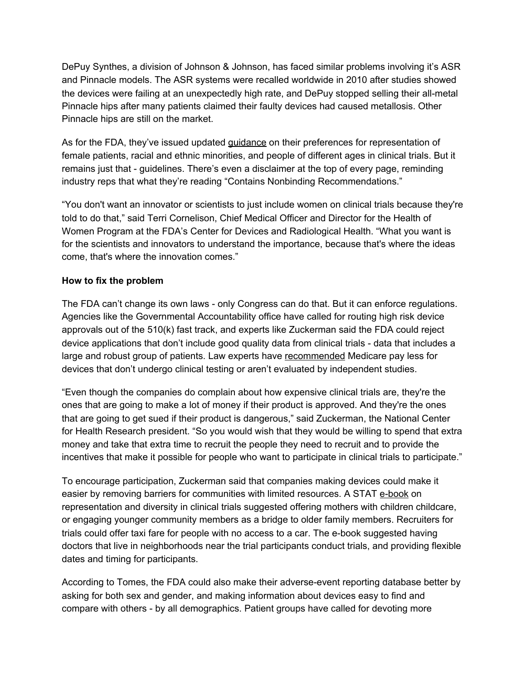DePuy Synthes, a division of Johnson & Johnson, has faced similar problems involving it's ASR and Pinnacle models. The ASR systems were recalled worldwide in 2010 after studies showed the devices were failing at an unexpectedly high rate, and DePuy stopped selling their all-metal Pinnacle hips after many patients claimed their faulty devices had caused metallosis. Other Pinnacle hips are still on the market.

As for the FDA, they've issued updated [guidance](https://www.fda.gov/media/127712/download) on their preferences for representation of female patients, racial and ethnic minorities, and people of different ages in clinical trials. But it remains just that - guidelines. There's even a disclaimer at the top of every page, reminding industry reps that what they're reading "Contains Nonbinding Recommendations."

"You don't want an innovator or scientists to just include women on clinical trials because they're told to do that," said Terri Cornelison, Chief Medical Officer and Director for the Health of Women Program at the FDA's Center for Devices and Radiological Health. "What you want is for the scientists and innovators to understand the importance, because that's where the ideas come, that's where the innovation comes."

#### **How to fix the problem**

The FDA can't change its own laws - only Congress can do that. But it can enforce regulations. Agencies like the Governmental Accountability office have called for routing high risk device approvals out of the 510(k) fast track, and experts like Zuckerman said the FDA could reject device applications that don't include good quality data from clinical trials - data that includes a large and robust group of patients. Law experts have [recommended](https://illinoislawreview.org/wp-content/ilr-content/articles/2014/4/Lennox.pdf) Medicare pay less for devices that don't undergo clinical testing or aren't evaluated by independent studies.

"Even though the companies do complain about how expensive clinical trials are, they're the ones that are going to make a lot of money if their product is approved. And they're the ones that are going to get sued if their product is dangerous," said Zuckerman, the National Center for Health Research president. "So you would wish that they would be willing to spend that extra money and take that extra time to recruit the people they need to recruit and to provide the incentives that make it possible for people who want to participate in clinical trials to participate."

To encourage participation, Zuckerman said that companies making devices could make it easier by removing barriers for communities with limited resources. A STAT [e-book](https://www.statnews.com/wp-content/uploads/2020/11/STAT-eBook-representation_diversity_clinical_trials.pdf) on representation and diversity in clinical trials suggested offering mothers with children childcare, or engaging younger community members as a bridge to older family members. Recruiters for trials could offer taxi fare for people with no access to a car. The e-book suggested having doctors that live in neighborhoods near the trial participants conduct trials, and providing flexible dates and timing for participants.

According to Tomes, the FDA could also make their adverse-event reporting database better by asking for both sex and gender, and making information about devices easy to find and compare with others - by all demographics. Patient groups have called for devoting more